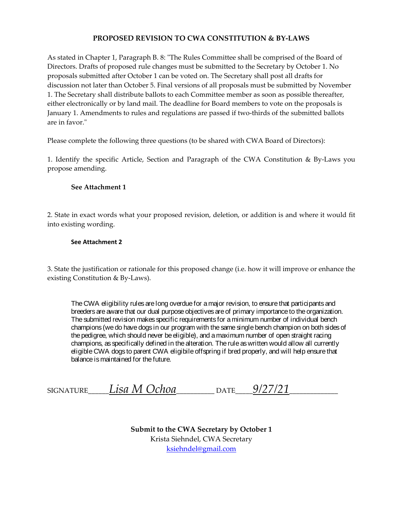#### **PROPOSED REVISION TO CWA CONSTITUTION & BY-LAWS**

As stated in Chapter 1, Paragraph B. 8: "The Rules Committee shall be comprised of the Board of Directors. Drafts of proposed rule changes must be submitted to the Secretary by October 1. No proposals submitted after October 1 can be voted on. The Secretary shall post all drafts for discussion not later than October 5. Final versions of all proposals must be submitted by November 1. The Secretary shall distribute ballots to each Committee member as soon as possible thereafter, either electronically or by land mail. The deadline for Board members to vote on the proposals is January 1. Amendments to rules and regulations are passed if two-thirds of the submitted ballots are in favor."

Please complete the following three questions (to be shared with CWA Board of Directors):

1. Identify the specific Article, Section and Paragraph of the CWA Constitution & By-Laws you propose amending.

#### **See Attachment 1**

2. State in exact words what your proposed revision, deletion, or addition is and where it would fit into existing wording.

#### **See Attachment 2**

3. State the justification or rationale for this proposed change (i.e. how it will improve or enhance the existing Constitution & By-Laws).

The CWA eligibility rules are long overdue for a major revision, to ensure that participants and breeders are aware that our dual purpose objectives are of primary importance to the organization. The submitted revision makes specific requirements for a minimum number of individual bench champions (we do have dogs in our program with the same single bench champion on both sides of the pedigree, which should never be eligible), and a maximum number of open straight racing champions, as specifically defined in the alteration. The rule as written would allow all currently eligible CWA dogs to parent CWA eligibile offspring if bred properly, and will help ensure that balance is maintained for the future.

| <b>SIGNATURE</b> | Lisa M O<br><i>Ochoa</i> | つATE | 9/27<br>$\sim$ |
|------------------|--------------------------|------|----------------|
|                  |                          |      |                |

**Submit to the CWA Secretary by October 1** Krista Siehndel, CWA Secretary ksiehndel@gmail.com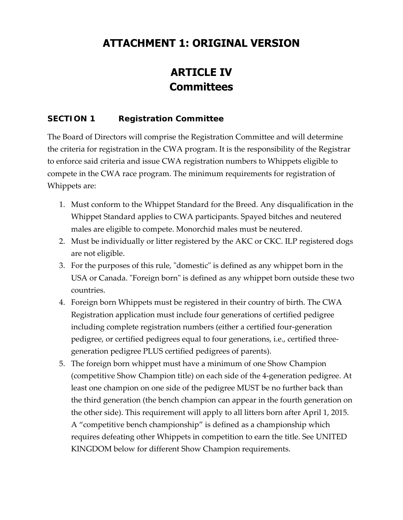## **ATTACHMENT 1: ORIGINAL VERSION**

# **ARTICLE IV Committees**

#### **SECTION 1 Registration Committee**

The Board of Directors will comprise the Registration Committee and will determine the criteria for registration in the CWA program. It is the responsibility of the Registrar to enforce said criteria and issue CWA registration numbers to Whippets eligible to compete in the CWA race program. The minimum requirements for registration of Whippets are:

- 1. Must conform to the Whippet Standard for the Breed. Any disqualification in the Whippet Standard applies to CWA participants. Spayed bitches and neutered males are eligible to compete. Monorchid males must be neutered.
- 2. Must be individually or litter registered by the AKC or CKC. ILP registered dogs are not eligible.
- 3. For the purposes of this rule, "domestic" is defined as any whippet born in the USA or Canada. "Foreign born" is defined as any whippet born outside these two countries.
- 4. Foreign born Whippets must be registered in their country of birth. The CWA Registration application must include four generations of certified pedigree including complete registration numbers (either a certified four‐generation pedigree, or certified pedigrees equal to four generations, i.e., certified three‐ generation pedigree PLUS certified pedigrees of parents).
- 5. The foreign born whippet must have a minimum of one Show Champion (competitive Show Champion title) on each side of the 4‐generation pedigree. At least one champion on one side of the pedigree MUST be no further back than the third generation (the bench champion can appear in the fourth generation on the other side). This requirement will apply to all litters born after April 1, 2015. A "competitive bench championship" is defined as a championship which requires defeating other Whippets in competition to earn the title. See UNITED KINGDOM below for different Show Champion requirements.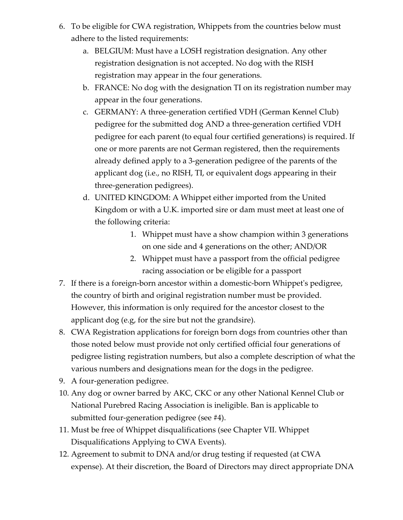- 6. To be eligible for CWA registration, Whippets from the countries below must adhere to the listed requirements:
	- a. BELGIUM: Must have a LOSH registration designation. Any other registration designation is not accepted. No dog with the RISH registration may appear in the four generations.
	- b. FRANCE: No dog with the designation TI on its registration number may appear in the four generations.
	- c. GERMANY: A three‐generation certified VDH (German Kennel Club) pedigree for the submitted dog AND a three‐generation certified VDH pedigree for each parent (to equal four certified generations) is required. If one or more parents are not German registered, then the requirements already defined apply to a 3‐generation pedigree of the parents of the applicant dog (i.e., no RISH, TI, or equivalent dogs appearing in their three‐generation pedigrees).
	- d. UNITED KINGDOM: A Whippet either imported from the United Kingdom or with a U.K. imported sire or dam must meet at least one of the following criteria:
		- 1. Whippet must have a show champion within 3 generations on one side and 4 generations on the other; AND/OR
		- 2. Whippet must have a passport from the official pedigree racing association or be eligible for a passport
- 7. If there is a foreign‐born ancestor within a domestic‐born Whippetʹs pedigree, the country of birth and original registration number must be provided. However, this information is only required for the ancestor closest to the applicant dog (e.g, for the sire but not the grandsire).
- 8. CWA Registration applications for foreign born dogs from countries other than those noted below must provide not only certified official four generations of pedigree listing registration numbers, but also a complete description of what the various numbers and designations mean for the dogs in the pedigree.
- 9. A four‐generation pedigree.
- 10. Any dog or owner barred by AKC, CKC or any other National Kennel Club or National Purebred Racing Association is ineligible. Ban is applicable to submitted four‐generation pedigree (see #4).
- 11. Must be free of Whippet disqualifications (see Chapter VII. Whippet Disqualifications Applying to CWA Events).
- 12. Agreement to submit to DNA and/or drug testing if requested (at CWA expense). At their discretion, the Board of Directors may direct appropriate DNA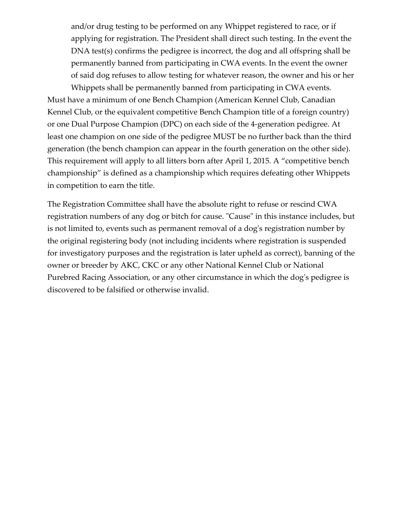and/or drug testing to be performed on any Whippet registered to race, or if applying for registration. The President shall direct such testing. In the event the DNA test(s) confirms the pedigree is incorrect, the dog and all offspring shall be permanently banned from participating in CWA events. In the event the owner of said dog refuses to allow testing for whatever reason, the owner and his or her

Whippets shall be permanently banned from participating in CWA events. Must have a minimum of one Bench Champion (American Kennel Club, Canadian Kennel Club, or the equivalent competitive Bench Champion title of a foreign country) or one Dual Purpose Champion (DPC) on each side of the 4‐generation pedigree. At least one champion on one side of the pedigree MUST be no further back than the third generation (the bench champion can appear in the fourth generation on the other side). This requirement will apply to all litters born after April 1, 2015. A "competitive bench championship" is defined as a championship which requires defeating other Whippets in competition to earn the title.

The Registration Committee shall have the absolute right to refuse or rescind CWA registration numbers of any dog or bitch for cause. "Cause" in this instance includes, but is not limited to, events such as permanent removal of a dog's registration number by the original registering body (not including incidents where registration is suspended for investigatory purposes and the registration is later upheld as correct), banning of the owner or breeder by AKC, CKC or any other National Kennel Club or National Purebred Racing Association, or any other circumstance in which the dog's pedigree is discovered to be falsified or otherwise invalid.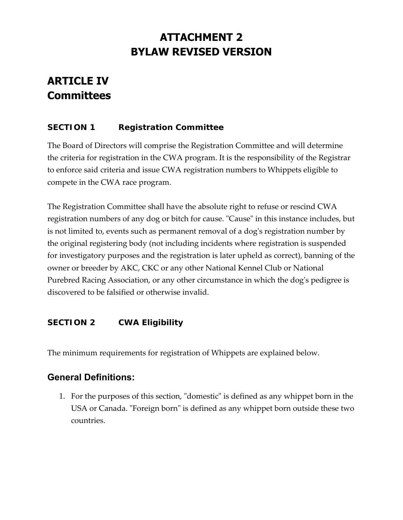# **ATTACHMENT 2 BYLAW REVISED VERSION**

# **ARTICLE IV Committees**

### **SECTION 1 Registration Committee**

The Board of Directors will comprise the Registration Committee and will determine the criteria for registration in the CWA program. It is the responsibility of the Registrar to enforce said criteria and issue CWA registration numbers to Whippets eligible to compete in the CWA race program.

The Registration Committee shall have the absolute right to refuse or rescind CWA registration numbers of any dog or bitch for cause. "Cause" in this instance includes, but is not limited to, events such as permanent removal of a dogʹs registration number by the original registering body (not including incidents where registration is suspended for investigatory purposes and the registration is later upheld as correct), banning of the owner or breeder by AKC, CKC or any other National Kennel Club or National Purebred Racing Association, or any other circumstance in which the dog's pedigree is discovered to be falsified or otherwise invalid.

### **SECTION 2 CWA Eligibility**

The minimum requirements for registration of Whippets are explained below.

## **General Definitions:**

1. For the purposes of this section, "domestic" is defined as any whippet born in the USA or Canada. "Foreign born" is defined as any whippet born outside these two countries.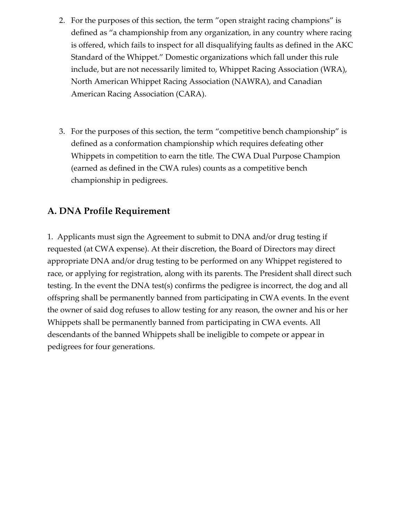- 2. For the purposes of this section, the term "open straight racing champions" is defined as "a championship from any organization, in any country where racing is offered, which fails to inspect for all disqualifying faults as defined in the AKC Standard of the Whippet." Domestic organizations which fall under this rule include, but are not necessarily limited to, Whippet Racing Association (WRA), North American Whippet Racing Association (NAWRA), and Canadian American Racing Association (CARA).
- 3. For the purposes of this section, the term "competitive bench championship" is defined as a conformation championship which requires defeating other Whippets in competition to earn the title. The CWA Dual Purpose Champion (earned as defined in the CWA rules) counts as a competitive bench championship in pedigrees.

### **A. DNA Profile Requirement**

1. Applicants must sign the Agreement to submit to DNA and/or drug testing if requested (at CWA expense). At their discretion, the Board of Directors may direct appropriate DNA and/or drug testing to be performed on any Whippet registered to race, or applying for registration, along with its parents. The President shall direct such testing. In the event the DNA test(s) confirms the pedigree is incorrect, the dog and all offspring shall be permanently banned from participating in CWA events. In the event the owner of said dog refuses to allow testing for any reason, the owner and his or her Whippets shall be permanently banned from participating in CWA events. All descendants of the banned Whippets shall be ineligible to compete or appear in pedigrees for four generations.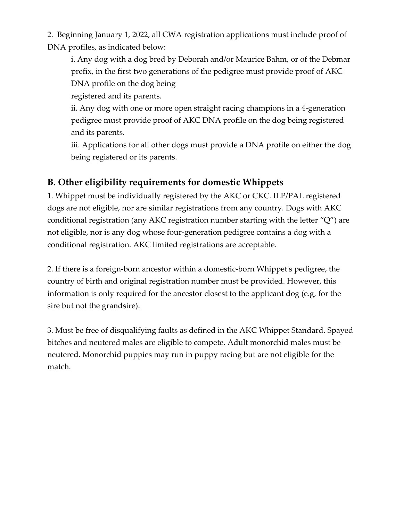2. Beginning January 1, 2022, all CWA registration applications must include proof of DNA profiles, as indicated below:

i. Any dog with a dog bred by Deborah and/or Maurice Bahm, or of the Debmar prefix, in the first two generations of the pedigree must provide proof of AKC DNA profile on the dog being

registered and its parents.

ii. Any dog with one or more open straight racing champions in a 4‐generation pedigree must provide proof of AKC DNA profile on the dog being registered and its parents.

iii. Applications for all other dogs must provide a DNA profile on either the dog being registered or its parents.

## **B. Other eligibility requirements for domestic Whippets**

1. Whippet must be individually registered by the AKC or CKC. ILP/PAL registered dogs are not eligible, nor are similar registrations from any country. Dogs with AKC conditional registration (any AKC registration number starting with the letter "Q") are not eligible, nor is any dog whose four‐generation pedigree contains a dog with a conditional registration. AKC limited registrations are acceptable.

2. If there is a foreign‐born ancestor within a domestic‐born Whippetʹs pedigree, the country of birth and original registration number must be provided. However, this information is only required for the ancestor closest to the applicant dog (e.g, for the sire but not the grandsire).

3. Must be free of disqualifying faults as defined in the AKC Whippet Standard. Spayed bitches and neutered males are eligible to compete. Adult monorchid males must be neutered. Monorchid puppies may run in puppy racing but are not eligible for the match.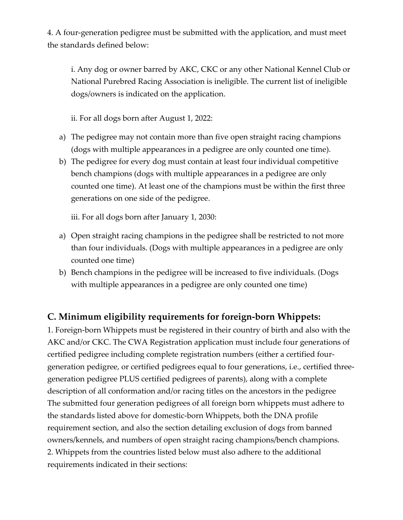4. A four‐generation pedigree must be submitted with the application, and must meet the standards defined below:

i. Any dog or owner barred by AKC, CKC or any other National Kennel Club or National Purebred Racing Association is ineligible. The current list of ineligible dogs/owners is indicated on the application.

ii. For all dogs born after August 1, 2022:

- a) The pedigree may not contain more than five open straight racing champions (dogs with multiple appearances in a pedigree are only counted one time).
- b) The pedigree for every dog must contain at least four individual competitive bench champions (dogs with multiple appearances in a pedigree are only counted one time). At least one of the champions must be within the first three generations on one side of the pedigree.

iii. For all dogs born after January 1, 2030:

- a) Open straight racing champions in the pedigree shall be restricted to not more than four individuals. (Dogs with multiple appearances in a pedigree are only counted one time)
- b) Bench champions in the pedigree will be increased to five individuals. (Dogs with multiple appearances in a pedigree are only counted one time)

## **C. Minimum eligibility requirements for foreign‐born Whippets:**

1. Foreign‐born Whippets must be registered in their country of birth and also with the AKC and/or CKC. The CWA Registration application must include four generations of certified pedigree including complete registration numbers (either a certified four‐ generation pedigree, or certified pedigrees equal to four generations, i.e., certified three‐ generation pedigree PLUS certified pedigrees of parents), along with a complete description of all conformation and/or racing titles on the ancestors in the pedigree The submitted four generation pedigrees of all foreign born whippets must adhere to the standards listed above for domestic‐born Whippets, both the DNA profile requirement section, and also the section detailing exclusion of dogs from banned owners/kennels, and numbers of open straight racing champions/bench champions. 2. Whippets from the countries listed below must also adhere to the additional requirements indicated in their sections: